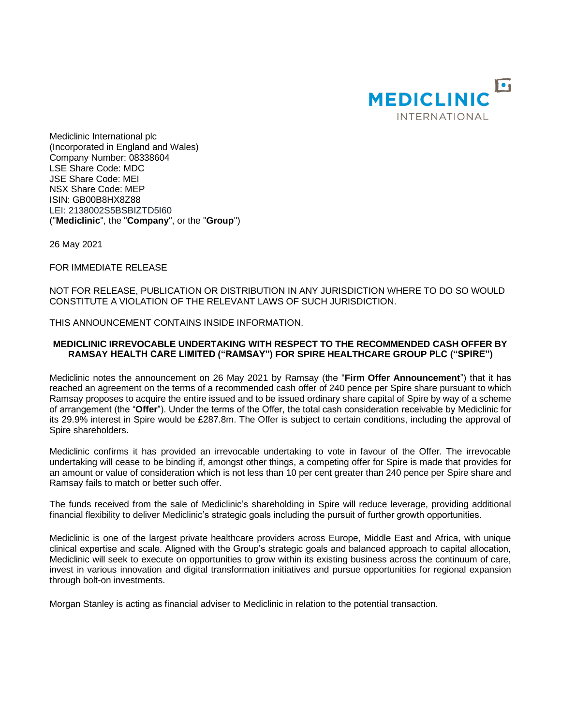

Mediclinic International plc (Incorporated in England and Wales) Company Number: 08338604 LSE Share Code: MDC JSE Share Code: MEI NSX Share Code: MEP ISIN: GB00B8HX8Z88 LEI: 2138002S5BSBIZTD5I60 ("**Mediclinic**", the "**Company**", or the "**Group**")

26 May 2021

FOR IMMEDIATE RELEASE

NOT FOR RELEASE, PUBLICATION OR DISTRIBUTION IN ANY JURISDICTION WHERE TO DO SO WOULD CONSTITUTE A VIOLATION OF THE RELEVANT LAWS OF SUCH JURISDICTION.

THIS ANNOUNCEMENT CONTAINS INSIDE INFORMATION.

### **MEDICLINIC IRREVOCABLE UNDERTAKING WITH RESPECT TO THE RECOMMENDED CASH OFFER BY RAMSAY HEALTH CARE LIMITED ("RAMSAY") FOR SPIRE HEALTHCARE GROUP PLC ("SPIRE")**

Mediclinic notes the announcement on 26 May 2021 by Ramsay (the "**Firm Offer Announcement**") that it has reached an agreement on the terms of a recommended cash offer of 240 pence per Spire share pursuant to which Ramsay proposes to acquire the entire issued and to be issued ordinary share capital of Spire by way of a scheme of arrangement (the "**Offer**"). Under the terms of the Offer, the total cash consideration receivable by Mediclinic for its 29.9% interest in Spire would be £287.8m. The Offer is subject to certain conditions, including the approval of Spire shareholders.

Mediclinic confirms it has provided an irrevocable undertaking to vote in favour of the Offer. The irrevocable undertaking will cease to be binding if, amongst other things, a competing offer for Spire is made that provides for an amount or value of consideration which is not less than 10 per cent greater than 240 pence per Spire share and Ramsay fails to match or better such offer.

The funds received from the sale of Mediclinic's shareholding in Spire will reduce leverage, providing additional financial flexibility to deliver Mediclinic's strategic goals including the pursuit of further growth opportunities.

Mediclinic is one of the largest private healthcare providers across Europe, Middle East and Africa, with unique clinical expertise and scale. Aligned with the Group's strategic goals and balanced approach to capital allocation, Mediclinic will seek to execute on opportunities to grow within its existing business across the continuum of care, invest in various innovation and digital transformation initiatives and pursue opportunities for regional expansion through bolt-on investments.

Morgan Stanley is acting as financial adviser to Mediclinic in relation to the potential transaction.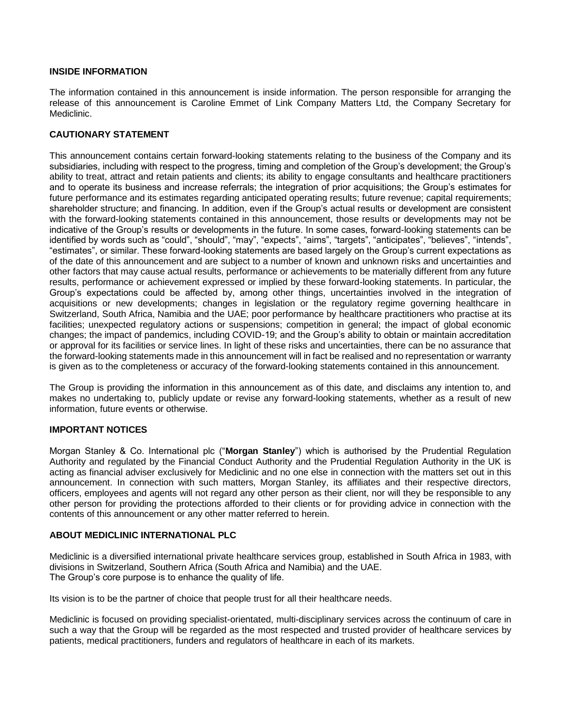# **INSIDE INFORMATION**

The information contained in this announcement is inside information. The person responsible for arranging the release of this announcement is Caroline Emmet of Link Company Matters Ltd, the Company Secretary for Mediclinic.

# **CAUTIONARY STATEMENT**

This announcement contains certain forward-looking statements relating to the business of the Company and its subsidiaries, including with respect to the progress, timing and completion of the Group's development; the Group's ability to treat, attract and retain patients and clients; its ability to engage consultants and healthcare practitioners and to operate its business and increase referrals; the integration of prior acquisitions; the Group's estimates for future performance and its estimates regarding anticipated operating results; future revenue; capital requirements; shareholder structure; and financing. In addition, even if the Group's actual results or development are consistent with the forward-looking statements contained in this announcement, those results or developments may not be indicative of the Group's results or developments in the future. In some cases, forward-looking statements can be identified by words such as "could", "should", "may", "expects", "aims", "targets", "anticipates", "believes", "intends", "estimates", or similar. These forward-looking statements are based largely on the Group's current expectations as of the date of this announcement and are subject to a number of known and unknown risks and uncertainties and other factors that may cause actual results, performance or achievements to be materially different from any future results, performance or achievement expressed or implied by these forward-looking statements. In particular, the Group's expectations could be affected by, among other things, uncertainties involved in the integration of acquisitions or new developments; changes in legislation or the regulatory regime governing healthcare in Switzerland, South Africa, Namibia and the UAE; poor performance by healthcare practitioners who practise at its facilities; unexpected regulatory actions or suspensions; competition in general; the impact of global economic changes; the impact of pandemics, including COVID-19; and the Group's ability to obtain or maintain accreditation or approval for its facilities or service lines. In light of these risks and uncertainties, there can be no assurance that the forward-looking statements made in this announcement will in fact be realised and no representation or warranty is given as to the completeness or accuracy of the forward-looking statements contained in this announcement.

The Group is providing the information in this announcement as of this date, and disclaims any intention to, and makes no undertaking to, publicly update or revise any forward-looking statements, whether as a result of new information, future events or otherwise.

### **IMPORTANT NOTICES**

Morgan Stanley & Co. International plc ("**Morgan Stanley**") which is authorised by the Prudential Regulation Authority and regulated by the Financial Conduct Authority and the Prudential Regulation Authority in the UK is acting as financial adviser exclusively for Mediclinic and no one else in connection with the matters set out in this announcement. In connection with such matters, Morgan Stanley, its affiliates and their respective directors, officers, employees and agents will not regard any other person as their client, nor will they be responsible to any other person for providing the protections afforded to their clients or for providing advice in connection with the contents of this announcement or any other matter referred to herein.

### **ABOUT MEDICLINIC INTERNATIONAL PLC**

Mediclinic is a diversified international private healthcare services group, established in South Africa in 1983, with divisions in Switzerland, Southern Africa (South Africa and Namibia) and the UAE. The Group's core purpose is to enhance the quality of life.

Its vision is to be the partner of choice that people trust for all their healthcare needs.

Mediclinic is focused on providing specialist-orientated, multi-disciplinary services across the continuum of care in such a way that the Group will be regarded as the most respected and trusted provider of healthcare services by patients, medical practitioners, funders and regulators of healthcare in each of its markets.